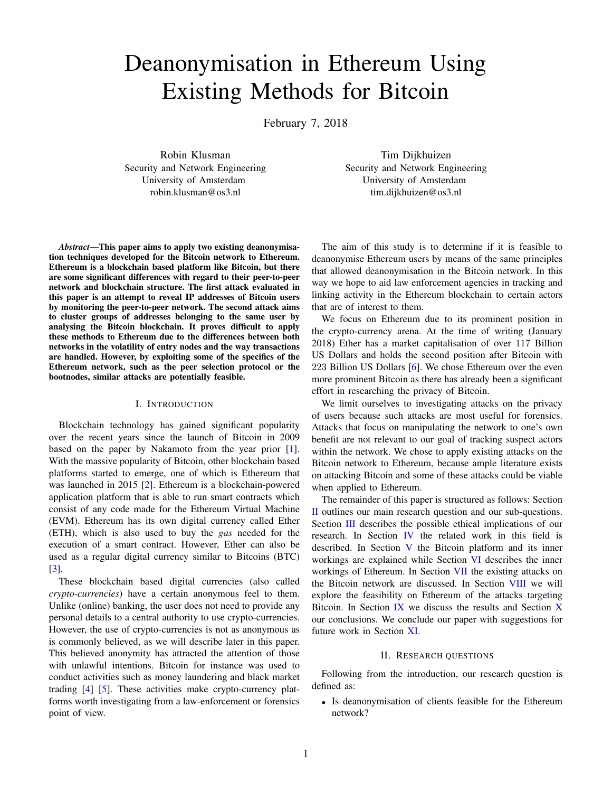# Deanonymisation in Ethereum Using Existing Methods for Bitcoin

February 7, 2018

Robin Klusman Security and Network Engineering University of Amsterdam robin.klusman@os3.nl

Tim Dijkhuizen Security and Network Engineering University of Amsterdam tim.dijkhuizen@os3.nl

*Abstract*—This paper aims to apply two existing deanonymisation techniques developed for the Bitcoin network to Ethereum. Ethereum is a blockchain based platform like Bitcoin, but there are some significant differences with regard to their peer-to-peer network and blockchain structure. The first attack evaluated in this paper is an attempt to reveal IP addresses of Bitcoin users by monitoring the peer-to-peer network. The second attack aims to cluster groups of addresses belonging to the same user by analysing the Bitcoin blockchain. It proves difficult to apply these methods to Ethereum due to the differences between both networks in the volatility of entry nodes and the way transactions are handled. However, by exploiting some of the specifics of the Ethereum network, such as the peer selection protocol or the bootnodes, similar attacks are potentially feasible.

#### I. INTRODUCTION

Blockchain technology has gained significant popularity over the recent years since the launch of Bitcoin in 2009 based on the paper by Nakamoto from the year prior [\[1\]](#page-6-0). With the massive popularity of Bitcoin, other blockchain based platforms started to emerge, one of which is Ethereum that was launched in 2015 [\[2\]](#page-6-1). Ethereum is a blockchain-powered application platform that is able to run smart contracts which consist of any code made for the Ethereum Virtual Machine (EVM). Ethereum has its own digital currency called Ether (ETH), which is also used to buy the *gas* needed for the execution of a smart contract. However, Ether can also be used as a regular digital currency similar to Bitcoins (BTC) [\[3\]](#page-6-2).

These blockchain based digital currencies (also called *crypto-currencies*) have a certain anonymous feel to them. Unlike (online) banking, the user does not need to provide any personal details to a central authority to use crypto-currencies. However, the use of crypto-currencies is not as anonymous as is commonly believed, as we will describe later in this paper. This believed anonymity has attracted the attention of those with unlawful intentions. Bitcoin for instance was used to conduct activities such as money laundering and black market trading [\[4\]](#page-6-3) [\[5\]](#page-6-4). These activities make crypto-currency platforms worth investigating from a law-enforcement or forensics point of view.

The aim of this study is to determine if it is feasible to deanonymise Ethereum users by means of the same principles that allowed deanonymisation in the Bitcoin network. In this way we hope to aid law enforcement agencies in tracking and linking activity in the Ethereum blockchain to certain actors that are of interest to them.

We focus on Ethereum due to its prominent position in the crypto-currency arena. At the time of writing (January 2018) Ether has a market capitalisation of over 117 Billion US Dollars and holds the second position after Bitcoin with 223 Billion US Dollars [\[6\]](#page-6-5). We chose Ethereum over the even more prominent Bitcoin as there has already been a significant effort in researching the privacy of Bitcoin.

We limit ourselves to investigating attacks on the privacy of users because such attacks are most useful for forensics. Attacks that focus on manipulating the network to one's own benefit are not relevant to our goal of tracking suspect actors within the network. We chose to apply existing attacks on the Bitcoin network to Ethereum, because ample literature exists on attacking Bitcoin and some of these attacks could be viable when applied to Ethereum.

The remainder of this paper is structured as follows: Section [II](#page-0-0) outlines our main research question and our sub-questions. Section [III](#page-1-0) describes the possible ethical implications of our research. In Section [IV](#page-1-1) the related work in this field is described. In Section [V](#page-1-2) the Bitcoin platform and its inner workings are explained while Section [VI](#page-3-0) describes the inner workings of Ethereum. In Section [VII](#page-4-0) the existing attacks on the Bitcoin network are discussed. In Section [VIII](#page-5-0) we will explore the feasibility on Ethereum of the attacks targeting Bitcoin. In Section  $\overline{IX}$  $\overline{IX}$  $\overline{IX}$  we discuss the results and Section  $\overline{X}$  $\overline{X}$  $\overline{X}$ our conclusions. We conclude our paper with suggestions for future work in Section [XI.](#page-6-7)

# II. RESEARCH QUESTIONS

<span id="page-0-0"></span>Following from the introduction, our research question is defined as:

• Is deanonymisation of clients feasible for the Ethereum network?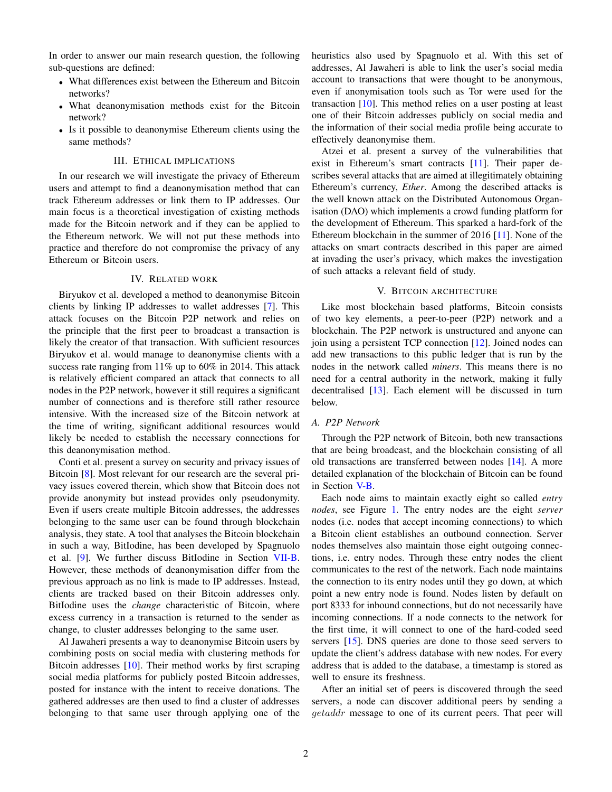In order to answer our main research question, the following sub-questions are defined:

- What differences exist between the Ethereum and Bitcoin networks?
- What deanonymisation methods exist for the Bitcoin network?
- Is it possible to deanonymise Ethereum clients using the same methods?

### III. ETHICAL IMPLICATIONS

<span id="page-1-0"></span>In our research we will investigate the privacy of Ethereum users and attempt to find a deanonymisation method that can track Ethereum addresses or link them to IP addresses. Our main focus is a theoretical investigation of existing methods made for the Bitcoin network and if they can be applied to the Ethereum network. We will not put these methods into practice and therefore do not compromise the privacy of any Ethereum or Bitcoin users.

# IV. RELATED WORK

<span id="page-1-1"></span>Biryukov et al. developed a method to deanonymise Bitcoin clients by linking IP addresses to wallet addresses [\[7\]](#page-6-8). This attack focuses on the Bitcoin P2P network and relies on the principle that the first peer to broadcast a transaction is likely the creator of that transaction. With sufficient resources Biryukov et al. would manage to deanonymise clients with a success rate ranging from 11% up to 60% in 2014. This attack is relatively efficient compared an attack that connects to all nodes in the P2P network, however it still requires a significant number of connections and is therefore still rather resource intensive. With the increased size of the Bitcoin network at the time of writing, significant additional resources would likely be needed to establish the necessary connections for this deanonymisation method.

Conti et al. present a survey on security and privacy issues of Bitcoin [\[8\]](#page-6-9). Most relevant for our research are the several privacy issues covered therein, which show that Bitcoin does not provide anonymity but instead provides only pseudonymity. Even if users create multiple Bitcoin addresses, the addresses belonging to the same user can be found through blockchain analysis, they state. A tool that analyses the Bitcoin blockchain in such a way, BitIodine, has been developed by Spagnuolo et al. [\[9\]](#page-7-0). We further discuss BitIodine in Section [VII-B.](#page-4-1) However, these methods of deanonymisation differ from the previous approach as no link is made to IP addresses. Instead, clients are tracked based on their Bitcoin addresses only. BitIodine uses the *change* characteristic of Bitcoin, where excess currency in a transaction is returned to the sender as change, to cluster addresses belonging to the same user.

Al Jawaheri presents a way to deanonymise Bitcoin users by combining posts on social media with clustering methods for Bitcoin addresses [\[10\]](#page-7-1). Their method works by first scraping social media platforms for publicly posted Bitcoin addresses, posted for instance with the intent to receive donations. The gathered addresses are then used to find a cluster of addresses belonging to that same user through applying one of the heuristics also used by Spagnuolo et al. With this set of addresses, Al Jawaheri is able to link the user's social media account to transactions that were thought to be anonymous, even if anonymisation tools such as Tor were used for the transaction [\[10\]](#page-7-1). This method relies on a user posting at least one of their Bitcoin addresses publicly on social media and the information of their social media profile being accurate to effectively deanonymise them.

Atzei et al. present a survey of the vulnerabilities that exist in Ethereum's smart contracts [\[11\]](#page-7-2). Their paper describes several attacks that are aimed at illegitimately obtaining Ethereum's currency, *Ether*. Among the described attacks is the well known attack on the Distributed Autonomous Organisation (DAO) which implements a crowd funding platform for the development of Ethereum. This sparked a hard-fork of the Ethereum blockchain in the summer of 2016 [\[11\]](#page-7-2). None of the attacks on smart contracts described in this paper are aimed at invading the user's privacy, which makes the investigation of such attacks a relevant field of study.

# V. BITCOIN ARCHITECTURE

<span id="page-1-2"></span>Like most blockchain based platforms, Bitcoin consists of two key elements, a peer-to-peer (P2P) network and a blockchain. The P2P network is unstructured and anyone can join using a persistent TCP connection [\[12\]](#page-7-3). Joined nodes can add new transactions to this public ledger that is run by the nodes in the network called *miners*. This means there is no need for a central authority in the network, making it fully decentralised [\[13\]](#page-7-4). Each element will be discussed in turn below.

# *A. P2P Network*

Through the P2P network of Bitcoin, both new transactions that are being broadcast, and the blockchain consisting of all old transactions are transferred between nodes [\[14\]](#page-7-5). A more detailed explanation of the blockchain of Bitcoin can be found in Section [V-B.](#page-2-0)

Each node aims to maintain exactly eight so called *entry nodes*, see Figure [1.](#page-2-1) The entry nodes are the eight *server* nodes (i.e. nodes that accept incoming connections) to which a Bitcoin client establishes an outbound connection. Server nodes themselves also maintain those eight outgoing connections, i.e. entry nodes. Through these entry nodes the client communicates to the rest of the network. Each node maintains the connection to its entry nodes until they go down, at which point a new entry node is found. Nodes listen by default on port 8333 for inbound connections, but do not necessarily have incoming connections. If a node connects to the network for the first time, it will connect to one of the hard-coded seed servers [\[15\]](#page-7-6). DNS queries are done to those seed servers to update the client's address database with new nodes. For every address that is added to the database, a timestamp is stored as well to ensure its freshness.

After an initial set of peers is discovered through the seed servers, a node can discover additional peers by sending a getaddr message to one of its current peers. That peer will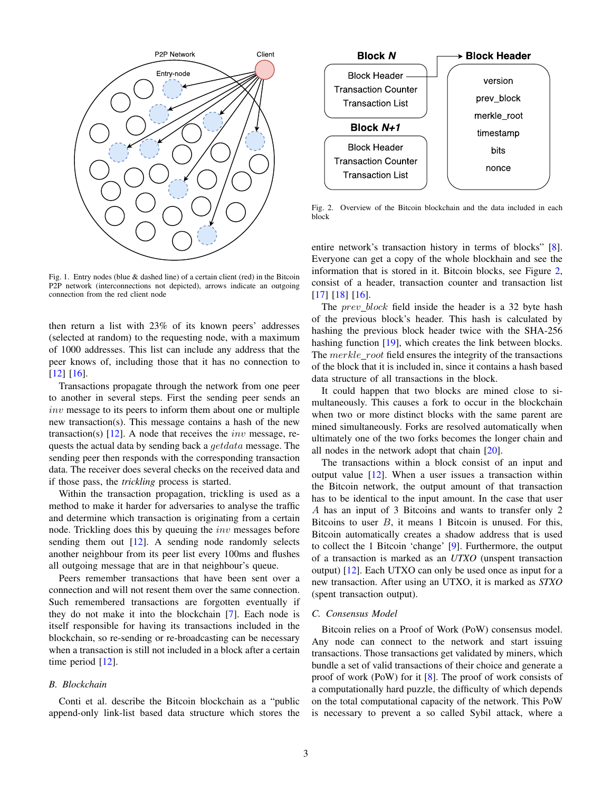

<span id="page-2-1"></span>Fig. 1. Entry nodes (blue & dashed line) of a certain client (red) in the Bitcoin P2P network (interconnections not depicted), arrows indicate an outgoing connection from the red client node

then return a list with 23% of its known peers' addresses (selected at random) to the requesting node, with a maximum of 1000 addresses. This list can include any address that the peer knows of, including those that it has no connection to [\[12\]](#page-7-3) [\[16\]](#page-7-7).

Transactions propagate through the network from one peer to another in several steps. First the sending peer sends an inv message to its peers to inform them about one or multiple new transaction(s). This message contains a hash of the new transaction(s)  $[12]$ . A node that receives the *inv* message, requests the actual data by sending back a *getdata* message. The sending peer then responds with the corresponding transaction data. The receiver does several checks on the received data and if those pass, the *trickling* process is started.

Within the transaction propagation, trickling is used as a method to make it harder for adversaries to analyse the traffic and determine which transaction is originating from a certain node. Trickling does this by queuing the *inv* messages before sending them out [\[12\]](#page-7-3). A sending node randomly selects another neighbour from its peer list every 100ms and flushes all outgoing message that are in that neighbour's queue.

Peers remember transactions that have been sent over a connection and will not resent them over the same connection. Such remembered transactions are forgotten eventually if they do not make it into the blockchain [\[7\]](#page-6-8). Each node is itself responsible for having its transactions included in the blockchain, so re-sending or re-broadcasting can be necessary when a transaction is still not included in a block after a certain time period [\[12\]](#page-7-3).

#### <span id="page-2-0"></span>*B. Blockchain*

Conti et al. describe the Bitcoin blockchain as a "public append-only link-list based data structure which stores the



<span id="page-2-2"></span>Fig. 2. Overview of the Bitcoin blockchain and the data included in each block

entire network's transaction history in terms of blocks" [\[8\]](#page-6-9). Everyone can get a copy of the whole blockhain and see the information that is stored in it. Bitcoin blocks, see Figure [2,](#page-2-2) consist of a header, transaction counter and transaction list [\[17\]](#page-7-8) [\[18\]](#page-7-9) [\[16\]](#page-7-7).

The prev\_block field inside the header is a 32 byte hash of the previous block's header. This hash is calculated by hashing the previous block header twice with the SHA-256 hashing function [\[19\]](#page-7-10), which creates the link between blocks. The  $merkle\_root$  field ensures the integrity of the transactions of the block that it is included in, since it contains a hash based data structure of all transactions in the block.

It could happen that two blocks are mined close to simultaneously. This causes a fork to occur in the blockchain when two or more distinct blocks with the same parent are mined simultaneously. Forks are resolved automatically when ultimately one of the two forks becomes the longer chain and all nodes in the network adopt that chain [\[20\]](#page-7-11).

The transactions within a block consist of an input and output value  $[12]$ . When a user issues a transaction within the Bitcoin network, the output amount of that transaction has to be identical to the input amount. In the case that user A has an input of 3 Bitcoins and wants to transfer only 2 Bitcoins to user  $B$ , it means 1 Bitcoin is unused. For this, Bitcoin automatically creates a shadow address that is used to collect the 1 Bitcoin 'change' [\[9\]](#page-7-0). Furthermore, the output of a transaction is marked as an *UTXO* (unspent transaction output) [\[12\]](#page-7-3). Each UTXO can only be used once as input for a new transaction. After using an UTXO, it is marked as *STXO* (spent transaction output).

#### *C. Consensus Model*

Bitcoin relies on a Proof of Work (PoW) consensus model. Any node can connect to the network and start issuing transactions. Those transactions get validated by miners, which bundle a set of valid transactions of their choice and generate a proof of work (PoW) for it [\[8\]](#page-6-9). The proof of work consists of a computationally hard puzzle, the difficulty of which depends on the total computational capacity of the network. This PoW is necessary to prevent a so called Sybil attack, where a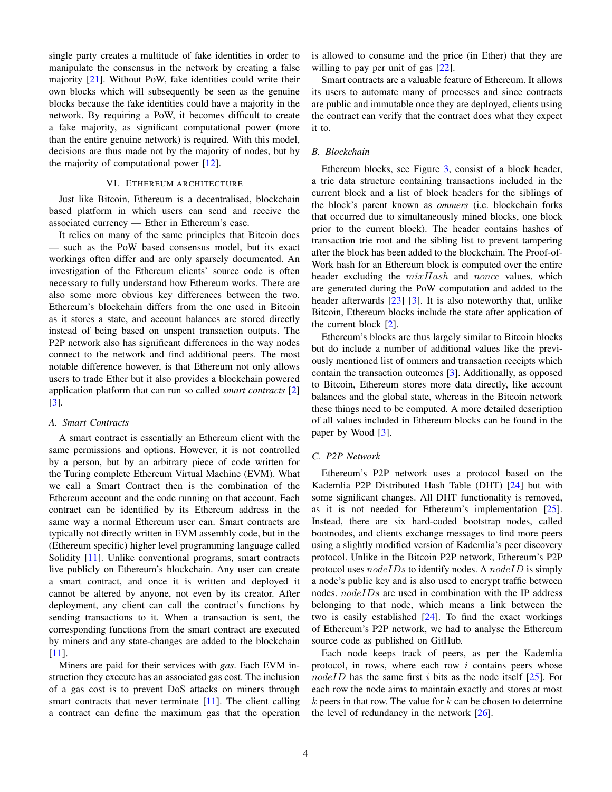single party creates a multitude of fake identities in order to manipulate the consensus in the network by creating a false majority [\[21\]](#page-7-12). Without PoW, fake identities could write their own blocks which will subsequently be seen as the genuine blocks because the fake identities could have a majority in the network. By requiring a PoW, it becomes difficult to create a fake majority, as significant computational power (more than the entire genuine network) is required. With this model, decisions are thus made not by the majority of nodes, but by the majority of computational power [\[12\]](#page-7-3).

# VI. ETHEREUM ARCHITECTURE

<span id="page-3-0"></span>Just like Bitcoin, Ethereum is a decentralised, blockchain based platform in which users can send and receive the associated currency — Ether in Ethereum's case.

It relies on many of the same principles that Bitcoin does — such as the PoW based consensus model, but its exact workings often differ and are only sparsely documented. An investigation of the Ethereum clients' source code is often necessary to fully understand how Ethereum works. There are also some more obvious key differences between the two. Ethereum's blockchain differs from the one used in Bitcoin as it stores a state, and account balances are stored directly instead of being based on unspent transaction outputs. The P2P network also has significant differences in the way nodes connect to the network and find additional peers. The most notable difference however, is that Ethereum not only allows users to trade Ether but it also provides a blockchain powered application platform that can run so called *smart contracts* [\[2\]](#page-6-1) [\[3\]](#page-6-2).

# *A. Smart Contracts*

A smart contract is essentially an Ethereum client with the same permissions and options. However, it is not controlled by a person, but by an arbitrary piece of code written for the Turing complete Ethereum Virtual Machine (EVM). What we call a Smart Contract then is the combination of the Ethereum account and the code running on that account. Each contract can be identified by its Ethereum address in the same way a normal Ethereum user can. Smart contracts are typically not directly written in EVM assembly code, but in the (Ethereum specific) higher level programming language called Solidity [\[11\]](#page-7-2). Unlike conventional programs, smart contracts live publicly on Ethereum's blockchain. Any user can create a smart contract, and once it is written and deployed it cannot be altered by anyone, not even by its creator. After deployment, any client can call the contract's functions by sending transactions to it. When a transaction is sent, the corresponding functions from the smart contract are executed by miners and any state-changes are added to the blockchain [\[11\]](#page-7-2).

Miners are paid for their services with *gas*. Each EVM instruction they execute has an associated gas cost. The inclusion of a gas cost is to prevent DoS attacks on miners through smart contracts that never terminate [\[11\]](#page-7-2). The client calling a contract can define the maximum gas that the operation is allowed to consume and the price (in Ether) that they are willing to pay per unit of gas [\[22\]](#page-7-13).

Smart contracts are a valuable feature of Ethereum. It allows its users to automate many of processes and since contracts are public and immutable once they are deployed, clients using the contract can verify that the contract does what they expect it to.

# *B. Blockchain*

Ethereum blocks, see Figure [3,](#page-4-2) consist of a block header, a trie data structure containing transactions included in the current block and a list of block headers for the siblings of the block's parent known as *ommers* (i.e. blockchain forks that occurred due to simultaneously mined blocks, one block prior to the current block). The header contains hashes of transaction trie root and the sibling list to prevent tampering after the block has been added to the blockchain. The Proof-of-Work hash for an Ethereum block is computed over the entire header excluding the  $mixHash$  and nonce values, which are generated during the PoW computation and added to the header afterwards [\[23\]](#page-7-14) [\[3\]](#page-6-2). It is also noteworthy that, unlike Bitcoin, Ethereum blocks include the state after application of the current block [\[2\]](#page-6-1).

Ethereum's blocks are thus largely similar to Bitcoin blocks but do include a number of additional values like the previously mentioned list of ommers and transaction receipts which contain the transaction outcomes [\[3\]](#page-6-2). Additionally, as opposed to Bitcoin, Ethereum stores more data directly, like account balances and the global state, whereas in the Bitcoin network these things need to be computed. A more detailed description of all values included in Ethereum blocks can be found in the paper by Wood [\[3\]](#page-6-2).

#### *C. P2P Network*

Ethereum's P2P network uses a protocol based on the Kademlia P2P Distributed Hash Table (DHT) [\[24\]](#page-7-15) but with some significant changes. All DHT functionality is removed, as it is not needed for Ethereum's implementation [\[25\]](#page-7-16). Instead, there are six hard-coded bootstrap nodes, called bootnodes, and clients exchange messages to find more peers using a slightly modified version of Kademlia's peer discovery protocol. Unlike in the Bitcoin P2P network, Ethereum's P2P protocol uses  $nodeIDs$  to identify nodes. A  $nodeID$  is simply a node's public key and is also used to encrypt traffic between nodes. nodeIDs are used in combination with the IP address belonging to that node, which means a link between the two is easily established [\[24\]](#page-7-15). To find the exact workings of Ethereum's P2P network, we had to analyse the Ethereum source code as published on GitHub.

Each node keeps track of peers, as per the Kademlia protocol, in rows, where each row  $i$  contains peers whose  $nodeID$  has the same first *i* bits as the node itself  $[25]$ . For each row the node aims to maintain exactly and stores at most  $k$  peers in that row. The value for  $k$  can be chosen to determine the level of redundancy in the network [\[26\]](#page-7-17).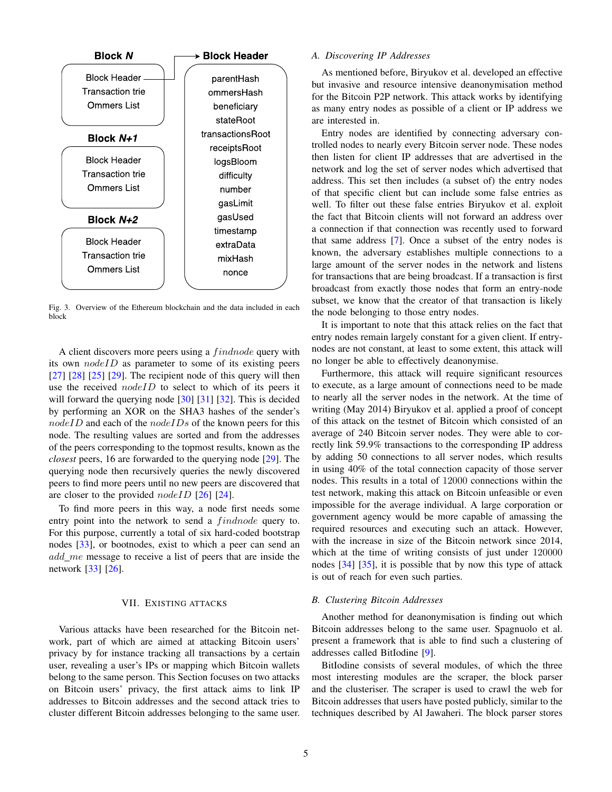

<span id="page-4-2"></span>Fig. 3. Overview of the Ethereum blockchain and the data included in each block

A client discovers more peers using a *findnode* query with its own  $nodeID$  as parameter to some of its existing peers  $[27]$   $[28]$   $[25]$   $[29]$ . The recipient node of this query will then use the received *nodeID* to select to which of its peers it will forward the querying node [\[30\]](#page-7-21) [\[31\]](#page-7-22) [\[32\]](#page-7-23). This is decided by performing an XOR on the SHA3 hashes of the sender's  $nodeID$  and each of the  $nodeIDs$  of the known peers for this node. The resulting values are sorted and from the addresses of the peers corresponding to the topmost results, known as the *closest* peers, 16 are forwarded to the querying node [\[29\]](#page-7-20). The querying node then recursively queries the newly discovered peers to find more peers until no new peers are discovered that are closer to the provided  $nodeID$  [\[26\]](#page-7-17) [\[24\]](#page-7-15).

To find more peers in this way, a node first needs some entry point into the network to send a findnode query to. For this purpose, currently a total of six hard-coded bootstrap nodes [\[33\]](#page-7-24), or bootnodes, exist to which a peer can send an add me message to receive a list of peers that are inside the network [\[33\]](#page-7-24) [\[26\]](#page-7-17).

#### VII. EXISTING ATTACKS

<span id="page-4-0"></span>Various attacks have been researched for the Bitcoin network, part of which are aimed at attacking Bitcoin users' privacy by for instance tracking all transactions by a certain user, revealing a user's IPs or mapping which Bitcoin wallets belong to the same person. This Section focuses on two attacks on Bitcoin users' privacy, the first attack aims to link IP addresses to Bitcoin addresses and the second attack tries to cluster different Bitcoin addresses belonging to the same user.

#### *A. Discovering IP Addresses*

As mentioned before, Biryukov et al. developed an effective but invasive and resource intensive deanonymisation method for the Bitcoin P2P network. This attack works by identifying as many entry nodes as possible of a client or IP address we are interested in.

Entry nodes are identified by connecting adversary controlled nodes to nearly every Bitcoin server node. These nodes then listen for client IP addresses that are advertised in the network and log the set of server nodes which advertised that address. This set then includes (a subset of) the entry nodes of that specific client but can include some false entries as well. To filter out these false entries Biryukov et al. exploit the fact that Bitcoin clients will not forward an address over a connection if that connection was recently used to forward that same address [\[7\]](#page-6-8). Once a subset of the entry nodes is known, the adversary establishes multiple connections to a large amount of the server nodes in the network and listens for transactions that are being broadcast. If a transaction is first broadcast from exactly those nodes that form an entry-node subset, we know that the creator of that transaction is likely the node belonging to those entry nodes.

It is important to note that this attack relies on the fact that entry nodes remain largely constant for a given client. If entrynodes are not constant, at least to some extent, this attack will no longer be able to effectively deanonymise.

Furthermore, this attack will require significant resources to execute, as a large amount of connections need to be made to nearly all the server nodes in the network. At the time of writing (May 2014) Biryukov et al. applied a proof of concept of this attack on the testnet of Bitcoin which consisted of an average of 240 Bitcoin server nodes. They were able to correctly link 59.9% transactions to the corresponding IP address by adding 50 connections to all server nodes, which results in using 40% of the total connection capacity of those server nodes. This results in a total of 12000 connections within the test network, making this attack on Bitcoin unfeasible or even impossible for the average individual. A large corporation or government agency would be more capable of amassing the required resources and executing such an attack. However, with the increase in size of the Bitcoin network since 2014, which at the time of writing consists of just under 120000 nodes [\[34\]](#page-7-25) [\[35\]](#page-7-26), it is possible that by now this type of attack is out of reach for even such parties.

# <span id="page-4-1"></span>*B. Clustering Bitcoin Addresses*

Another method for deanonymisation is finding out which Bitcoin addresses belong to the same user. Spagnuolo et al. present a framework that is able to find such a clustering of addresses called BitIodine [\[9\]](#page-7-0).

BitIodine consists of several modules, of which the three most interesting modules are the scraper, the block parser and the clusteriser. The scraper is used to crawl the web for Bitcoin addresses that users have posted publicly, similar to the techniques described by Al Jawaheri. The block parser stores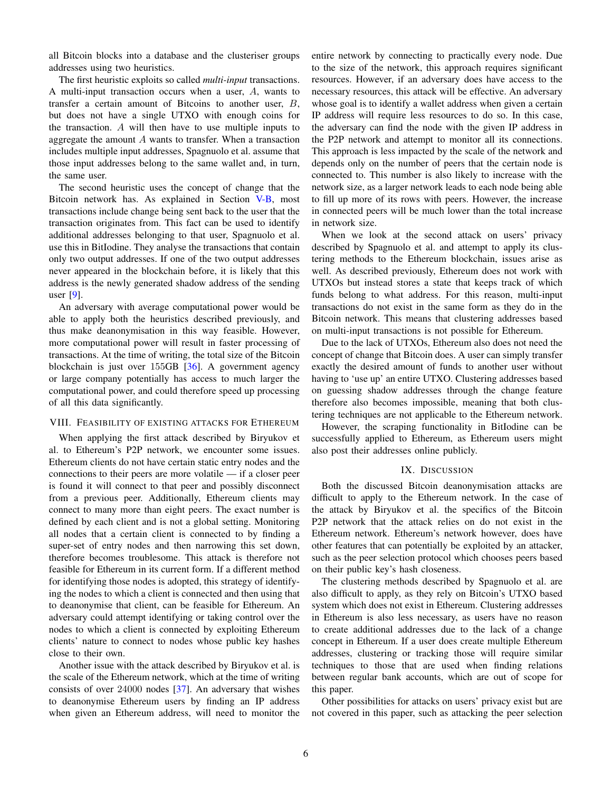all Bitcoin blocks into a database and the clusteriser groups addresses using two heuristics.

The first heuristic exploits so called *multi-input* transactions. A multi-input transaction occurs when a user, A, wants to transfer a certain amount of Bitcoins to another user, B, but does not have a single UTXO with enough coins for the transaction. A will then have to use multiple inputs to aggregate the amount A wants to transfer. When a transaction includes multiple input addresses, Spagnuolo et al. assume that those input addresses belong to the same wallet and, in turn, the same user.

The second heuristic uses the concept of change that the Bitcoin network has. As explained in Section [V-B,](#page-2-0) most transactions include change being sent back to the user that the transaction originates from. This fact can be used to identify additional addresses belonging to that user, Spagnuolo et al. use this in BitIodine. They analyse the transactions that contain only two output addresses. If one of the two output addresses never appeared in the blockchain before, it is likely that this address is the newly generated shadow address of the sending user [\[9\]](#page-7-0).

An adversary with average computational power would be able to apply both the heuristics described previously, and thus make deanonymisation in this way feasible. However, more computational power will result in faster processing of transactions. At the time of writing, the total size of the Bitcoin blockchain is just over 155GB [\[36\]](#page-7-27). A government agency or large company potentially has access to much larger the computational power, and could therefore speed up processing of all this data significantly.

# <span id="page-5-0"></span>VIII. FEASIBILITY OF EXISTING ATTACKS FOR ETHEREUM

When applying the first attack described by Biryukov et al. to Ethereum's P2P network, we encounter some issues. Ethereum clients do not have certain static entry nodes and the connections to their peers are more volatile — if a closer peer is found it will connect to that peer and possibly disconnect from a previous peer. Additionally, Ethereum clients may connect to many more than eight peers. The exact number is defined by each client and is not a global setting. Monitoring all nodes that a certain client is connected to by finding a super-set of entry nodes and then narrowing this set down, therefore becomes troublesome. This attack is therefore not feasible for Ethereum in its current form. If a different method for identifying those nodes is adopted, this strategy of identifying the nodes to which a client is connected and then using that to deanonymise that client, can be feasible for Ethereum. An adversary could attempt identifying or taking control over the nodes to which a client is connected by exploiting Ethereum clients' nature to connect to nodes whose public key hashes close to their own.

Another issue with the attack described by Biryukov et al. is the scale of the Ethereum network, which at the time of writing consists of over 24000 nodes [\[37\]](#page-7-28). An adversary that wishes to deanonymise Ethereum users by finding an IP address when given an Ethereum address, will need to monitor the entire network by connecting to practically every node. Due to the size of the network, this approach requires significant resources. However, if an adversary does have access to the necessary resources, this attack will be effective. An adversary whose goal is to identify a wallet address when given a certain IP address will require less resources to do so. In this case, the adversary can find the node with the given IP address in the P2P network and attempt to monitor all its connections. This approach is less impacted by the scale of the network and depends only on the number of peers that the certain node is connected to. This number is also likely to increase with the network size, as a larger network leads to each node being able to fill up more of its rows with peers. However, the increase in connected peers will be much lower than the total increase in network size.

When we look at the second attack on users' privacy described by Spagnuolo et al. and attempt to apply its clustering methods to the Ethereum blockchain, issues arise as well. As described previously, Ethereum does not work with UTXOs but instead stores a state that keeps track of which funds belong to what address. For this reason, multi-input transactions do not exist in the same form as they do in the Bitcoin network. This means that clustering addresses based on multi-input transactions is not possible for Ethereum.

Due to the lack of UTXOs, Ethereum also does not need the concept of change that Bitcoin does. A user can simply transfer exactly the desired amount of funds to another user without having to 'use up' an entire UTXO. Clustering addresses based on guessing shadow addresses through the change feature therefore also becomes impossible, meaning that both clustering techniques are not applicable to the Ethereum network.

However, the scraping functionality in BitIodine can be successfully applied to Ethereum, as Ethereum users might also post their addresses online publicly.

#### IX. DISCUSSION

<span id="page-5-1"></span>Both the discussed Bitcoin deanonymisation attacks are difficult to apply to the Ethereum network. In the case of the attack by Biryukov et al. the specifics of the Bitcoin P2P network that the attack relies on do not exist in the Ethereum network. Ethereum's network however, does have other features that can potentially be exploited by an attacker, such as the peer selection protocol which chooses peers based on their public key's hash closeness.

The clustering methods described by Spagnuolo et al. are also difficult to apply, as they rely on Bitcoin's UTXO based system which does not exist in Ethereum. Clustering addresses in Ethereum is also less necessary, as users have no reason to create additional addresses due to the lack of a change concept in Ethereum. If a user does create multiple Ethereum addresses, clustering or tracking those will require similar techniques to those that are used when finding relations between regular bank accounts, which are out of scope for this paper.

Other possibilities for attacks on users' privacy exist but are not covered in this paper, such as attacking the peer selection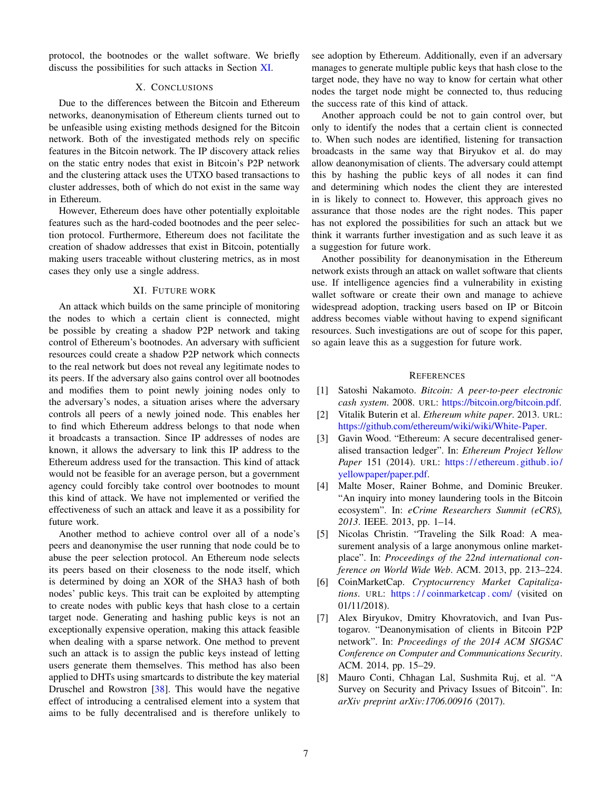protocol, the bootnodes or the wallet software. We briefly discuss the possibilities for such attacks in Section [XI.](#page-6-7)

# X. CONCLUSIONS

<span id="page-6-6"></span>Due to the differences between the Bitcoin and Ethereum networks, deanonymisation of Ethereum clients turned out to be unfeasible using existing methods designed for the Bitcoin network. Both of the investigated methods rely on specific features in the Bitcoin network. The IP discovery attack relies on the static entry nodes that exist in Bitcoin's P2P network and the clustering attack uses the UTXO based transactions to cluster addresses, both of which do not exist in the same way in Ethereum.

However, Ethereum does have other potentially exploitable features such as the hard-coded bootnodes and the peer selection protocol. Furthermore, Ethereum does not facilitate the creation of shadow addresses that exist in Bitcoin, potentially making users traceable without clustering metrics, as in most cases they only use a single address.

#### XI. FUTURE WORK

<span id="page-6-7"></span>An attack which builds on the same principle of monitoring the nodes to which a certain client is connected, might be possible by creating a shadow P2P network and taking control of Ethereum's bootnodes. An adversary with sufficient resources could create a shadow P2P network which connects to the real network but does not reveal any legitimate nodes to its peers. If the adversary also gains control over all bootnodes and modifies them to point newly joining nodes only to the adversary's nodes, a situation arises where the adversary controls all peers of a newly joined node. This enables her to find which Ethereum address belongs to that node when it broadcasts a transaction. Since IP addresses of nodes are known, it allows the adversary to link this IP address to the Ethereum address used for the transaction. This kind of attack would not be feasible for an average person, but a government agency could forcibly take control over bootnodes to mount this kind of attack. We have not implemented or verified the effectiveness of such an attack and leave it as a possibility for future work.

Another method to achieve control over all of a node's peers and deanonymise the user running that node could be to abuse the peer selection protocol. An Ethereum node selects its peers based on their closeness to the node itself, which is determined by doing an XOR of the SHA3 hash of both nodes' public keys. This trait can be exploited by attempting to create nodes with public keys that hash close to a certain target node. Generating and hashing public keys is not an exceptionally expensive operation, making this attack feasible when dealing with a sparse network. One method to prevent such an attack is to assign the public keys instead of letting users generate them themselves. This method has also been applied to DHTs using smartcards to distribute the key material Druschel and Rowstron [\[38\]](#page-7-29). This would have the negative effect of introducing a centralised element into a system that aims to be fully decentralised and is therefore unlikely to see adoption by Ethereum. Additionally, even if an adversary manages to generate multiple public keys that hash close to the target node, they have no way to know for certain what other nodes the target node might be connected to, thus reducing the success rate of this kind of attack.

Another approach could be not to gain control over, but only to identify the nodes that a certain client is connected to. When such nodes are identified, listening for transaction broadcasts in the same way that Biryukov et al. do may allow deanonymisation of clients. The adversary could attempt this by hashing the public keys of all nodes it can find and determining which nodes the client they are interested in is likely to connect to. However, this approach gives no assurance that those nodes are the right nodes. This paper has not explored the possibilities for such an attack but we think it warrants further investigation and as such leave it as a suggestion for future work.

Another possibility for deanonymisation in the Ethereum network exists through an attack on wallet software that clients use. If intelligence agencies find a vulnerability in existing wallet software or create their own and manage to achieve widespread adoption, tracking users based on IP or Bitcoin address becomes viable without having to expend significant resources. Such investigations are out of scope for this paper, so again leave this as a suggestion for future work.

#### **REFERENCES**

- <span id="page-6-0"></span>[1] Satoshi Nakamoto. *Bitcoin: A peer-to-peer electronic cash system*. 2008. URL: [https://bitcoin.org/bitcoin.pdf.](https://bitcoin.org/bitcoin.pdf)
- <span id="page-6-1"></span>[2] Vitalik Buterin et al. *Ethereum white paper*. 2013. URL: [https://github.com/ethereum/wiki/wiki/White-Paper.](https://github.com/ethereum/wiki/wiki/White-Paper)
- <span id="page-6-2"></span>[3] Gavin Wood. "Ethereum: A secure decentralised generalised transaction ledger". In: *Ethereum Project Yellow* Paper 151 (2014). URL: https://ethereum.github.io/ [yellowpaper/paper.pdf.](https://ethereum.github.io/yellowpaper/paper.pdf)
- <span id="page-6-3"></span>[4] Malte Moser, Rainer Bohme, and Dominic Breuker. "An inquiry into money laundering tools in the Bitcoin ecosystem". In: *eCrime Researchers Summit (eCRS), 2013*. IEEE. 2013, pp. 1–14.
- <span id="page-6-4"></span>[5] Nicolas Christin. "Traveling the Silk Road: A measurement analysis of a large anonymous online marketplace". In: *Proceedings of the 22nd international conference on World Wide Web*. ACM. 2013, pp. 213–224.
- <span id="page-6-5"></span>[6] CoinMarketCap. *Cryptocurrency Market Capitalizations*. URL: [https : / / coinmarketcap . com/](https://coinmarketcap.com/) (visited on 01/11/2018).
- <span id="page-6-8"></span>[7] Alex Biryukov, Dmitry Khovratovich, and Ivan Pustogarov. "Deanonymisation of clients in Bitcoin P2P network". In: *Proceedings of the 2014 ACM SIGSAC Conference on Computer and Communications Security*. ACM. 2014, pp. 15–29.
- <span id="page-6-9"></span>[8] Mauro Conti, Chhagan Lal, Sushmita Ruj, et al. "A Survey on Security and Privacy Issues of Bitcoin". In: *arXiv preprint arXiv:1706.00916* (2017).